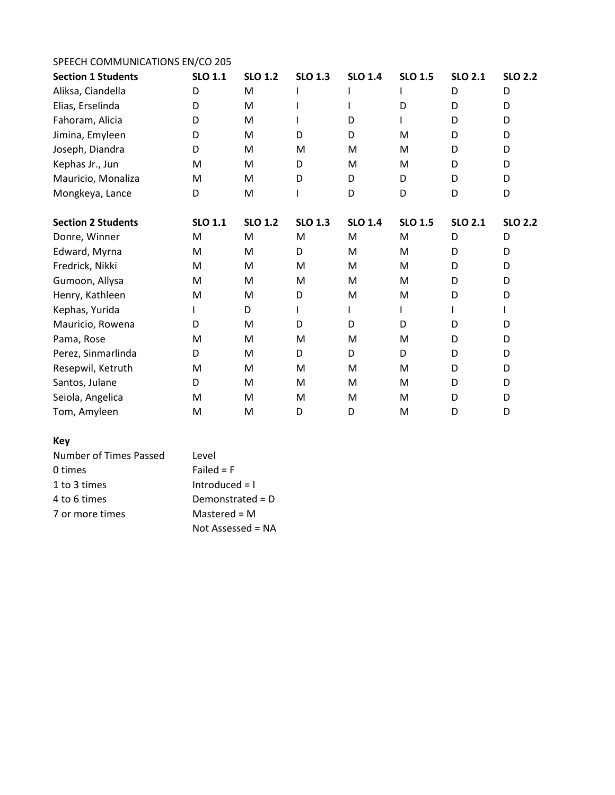## SPEECH COMMUNICATIONS EN/CO 205 **Section 1 Students SLO 1.1 SLO 1.2 SLO 1.3 SLO 1.4 SLO 1.5 SLO 2.1 SLO 2.2** Aliksa, Ciandella D M I I I D D Elias, Erselinda D M I I D D D Fahoram, Alicia D M I D I D D Jimina, Emyleen D M D D M D D Joseph, Diandra D M M M M D D Kephas Jr., Jun M M M D M M D D D Mauricio, Monaliza M M D D D D D D Mongkeya, Lance D M I D D D D

| 1110118110744             |                | .              |                |                |                |                |                |
|---------------------------|----------------|----------------|----------------|----------------|----------------|----------------|----------------|
| <b>Section 2 Students</b> | <b>SLO 1.1</b> | <b>SLO 1.2</b> | <b>SLO 1.3</b> | <b>SLO 1.4</b> | <b>SLO 1.5</b> | <b>SLO 2.1</b> | <b>SLO 2.2</b> |
| Donre, Winner             | M              | M              | M              | M              | M              | D              | D              |
| Edward, Myrna             | M              | M              | D              | M              | M              | D              | D              |
| Fredrick, Nikki           | M              | M              | M              | M              | M              | D              | D              |
| Gumoon, Allysa            | M              | M              | M              | M              | M              | D              | D              |
| Henry, Kathleen           | M              | M              | D              | M              | M              | D              | D              |
| Kephas, Yurida            |                | D              |                |                |                |                |                |
| Mauricio, Rowena          | D              | M              | D              | D              | D              | D              | D              |
| Pama, Rose                | M              | M              | M              | M              | M              | D              | D              |
| Perez, Sinmarlinda        | D              | M              | D              | D              | D              | D              | D              |
| Resepwil, Ketruth         | M              | M              | M              | M              | M              | D              | D              |
| Santos, Julane            | D              | M              | M              | M              | M              | D              | D              |
| Seiola, Angelica          | M              | M              | M              | M              | M              | D              | D              |
| Tom, Amyleen              | M              | M              | D              | D              | M              | D              | D              |

## **Key**

| Number of Times Passed | Level               |
|------------------------|---------------------|
| 0 times                | Failed $=$ F        |
| 1 to 3 times           | Introduced $= 1$    |
| 4 to 6 times           | Demonstrated = $D$  |
| 7 or more times        | Mastered = $M$      |
|                        | Not Assessed = $NA$ |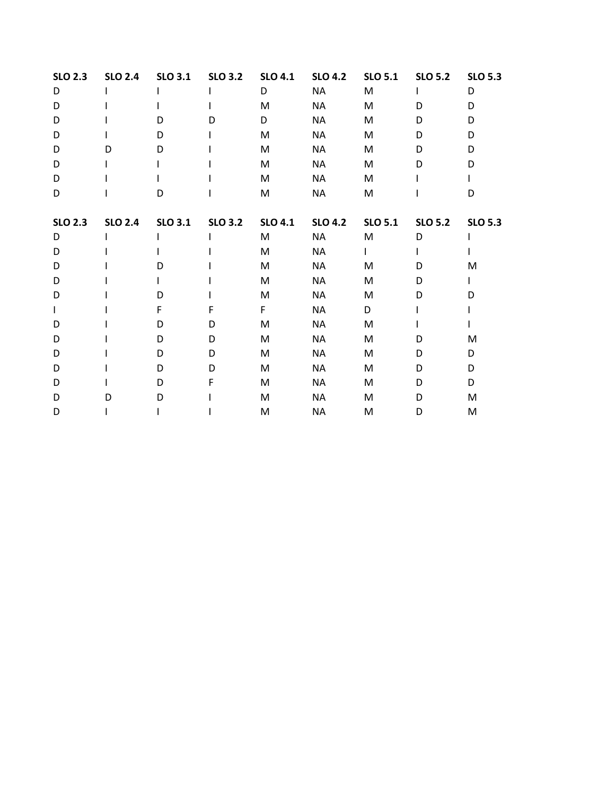| <b>SLO 2.3</b> | <b>SLO 2.4</b> | <b>SLO 3.1</b> | <b>SLO 3.2</b> | <b>SLO 4.1</b> | <b>SLO 4.2</b> | <b>SLO 5.1</b> | <b>SLO 5.2</b> | <b>SLO 5.3</b> |
|----------------|----------------|----------------|----------------|----------------|----------------|----------------|----------------|----------------|
| D              |                |                |                | D              | <b>NA</b>      | M              |                | D              |
| D              |                |                |                | M              | <b>NA</b>      | M              | D              | D              |
| D              |                | D              | D              | D              | <b>NA</b>      | M              | D              | D              |
| D              |                | D              |                | M              | <b>NA</b>      | M              | D              | D              |
| D              | D              | D              |                | M              | NA             | M              | D              | D              |
| D              |                |                |                | M              | <b>NA</b>      | M              | D              | D              |
| D              |                |                |                | M              | <b>NA</b>      | M              |                |                |
| D              |                | D              |                | M              | <b>NA</b>      | M              |                | D              |
| <b>SLO 2.3</b> | <b>SLO 2.4</b> | <b>SLO 3.1</b> | <b>SLO 3.2</b> | <b>SLO 4.1</b> | <b>SLO 4.2</b> | <b>SLO 5.1</b> | <b>SLO 5.2</b> | <b>SLO 5.3</b> |
| D              |                |                |                | M              | <b>NA</b>      | M              | D              |                |
| D              |                |                |                | M              | <b>NA</b>      |                |                |                |
| D              |                |                |                | M              | <b>NA</b>      | M              | D              | M              |
| D              |                |                |                | M              | <b>NA</b>      | M              | D              |                |
| D              |                | D              |                | M              | <b>NA</b>      | M              | D              | D              |
|                |                | F              | F              | F              | <b>NA</b>      | D              |                |                |
| D              |                | D              | D              | M              | <b>NA</b>      | M              |                |                |
| D              |                | D              | D              | M              | <b>NA</b>      | M              | D              | M              |
| D              |                | D              | D              | M              | <b>NA</b>      | M              | D              | D              |
| D              |                | D              | D              | M              | <b>NA</b>      | M              | D              | D              |
| D              |                | D              | F              | M              | <b>NA</b>      | M              | D              | D              |
| D              | D              | D              |                | M              | <b>NA</b>      | M              | D              | ${\sf M}$      |
| D              |                |                |                | M              | <b>NA</b>      | M              | D              | M              |